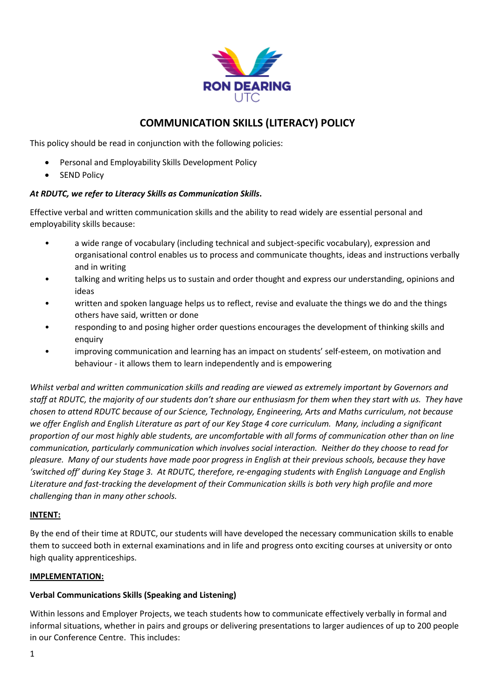

# **COMMUNICATION SKILLS (LITERACY) POLICY**

This policy should be read in conjunction with the following policies:

- Personal and Employability Skills Development Policy
- SEND Policy

## *At RDUTC, we refer to Literacy Skills as Communication Skills***.**

Effective verbal and written communication skills and the ability to read widely are essential personal and employability skills because:

- a wide range of vocabulary (including technical and subject-specific vocabulary), expression and organisational control enables us to process and communicate thoughts, ideas and instructions verbally and in writing
- talking and writing helps us to sustain and order thought and express our understanding, opinions and ideas
- written and spoken language helps us to reflect, revise and evaluate the things we do and the things others have said, written or done
- responding to and posing higher order questions encourages the development of thinking skills and enquiry
- improving communication and learning has an impact on students' self-esteem, on motivation and behaviour - it allows them to learn independently and is empowering

*Whilst verbal and written communication skills and reading are viewed as extremely important by Governors and staff at RDUTC, the majority of our students don't share our enthusiasm for them when they start with us. They have chosen to attend RDUTC because of our Science, Technology, Engineering, Arts and Maths curriculum, not because we offer English and English Literature as part of our Key Stage 4 core curriculum. Many, including a significant proportion of our most highly able students, are uncomfortable with all forms of communication other than on line communication, particularly communication which involves social interaction. Neither do they choose to read for pleasure. Many of our students have made poor progress in English at their previous schools, because they have 'switched off' during Key Stage 3. At RDUTC, therefore, re-engaging students with English Language and English Literature and fast-tracking the development of their Communication skills is both very high profile and more challenging than in many other schools.* 

# **INTENT:**

By the end of their time at RDUTC, our students will have developed the necessary communication skills to enable them to succeed both in external examinations and in life and progress onto exciting courses at university or onto high quality apprenticeships.

## **IMPLEMENTATION:**

# **Verbal Communications Skills (Speaking and Listening)**

Within lessons and Employer Projects, we teach students how to communicate effectively verbally in formal and informal situations, whether in pairs and groups or delivering presentations to larger audiences of up to 200 people in our Conference Centre. This includes: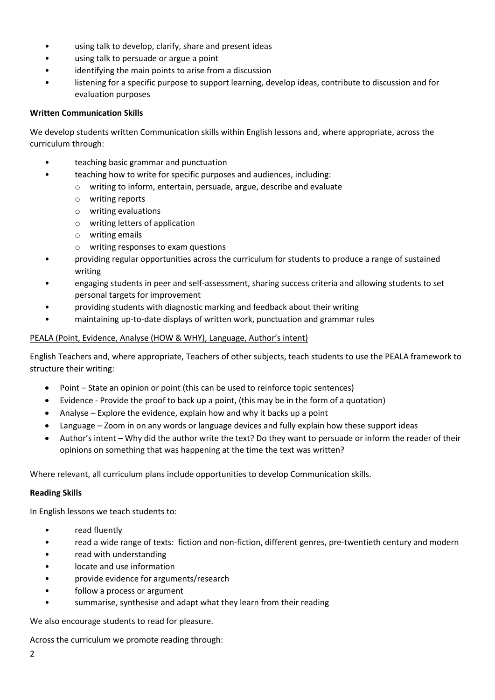- using talk to develop, clarify, share and present ideas
- using talk to persuade or argue a point
- identifying the main points to arise from a discussion
- listening for a specific purpose to support learning, develop ideas, contribute to discussion and for evaluation purposes

## **Written Communication Skills**

We develop students written Communication skills within English lessons and, where appropriate, across the curriculum through:

- teaching basic grammar and punctuation
- teaching how to write for specific purposes and audiences, including:
	- o writing to inform, entertain, persuade, argue, describe and evaluate
		- o writing reports
		- o writing evaluations
		- o writing letters of application
		- o writing emails
	- o writing responses to exam questions
- providing regular opportunities across the curriculum for students to produce a range of sustained writing
- engaging students in peer and self-assessment, sharing success criteria and allowing students to set personal targets for improvement
- providing students with diagnostic marking and feedback about their writing
- maintaining up-to-date displays of written work, punctuation and grammar rules

## PEALA (Point, Evidence, Analyse (HOW & WHY), Language, Author's intent)

English Teachers and, where appropriate, Teachers of other subjects, teach students to use the PEALA framework to structure their writing:

- Point State an opinion or point (this can be used to reinforce topic sentences)
- Evidence Provide the proof to back up a point, (this may be in the form of a quotation)
- Analyse Explore the evidence, explain how and why it backs up a point
- Language Zoom in on any words or language devices and fully explain how these support ideas
- Author's intent Why did the author write the text? Do they want to persuade or inform the reader of their opinions on something that was happening at the time the text was written?

Where relevant, all curriculum plans include opportunities to develop Communication skills.

### **Reading Skills**

In English lessons we teach students to:

- read fluently
- read a wide range of texts: fiction and non-fiction, different genres, pre-twentieth century and modern
- read with understanding
- locate and use information
- provide evidence for arguments/research
- follow a process or argument
- summarise, synthesise and adapt what they learn from their reading

We also encourage students to read for pleasure.

Across the curriculum we promote reading through: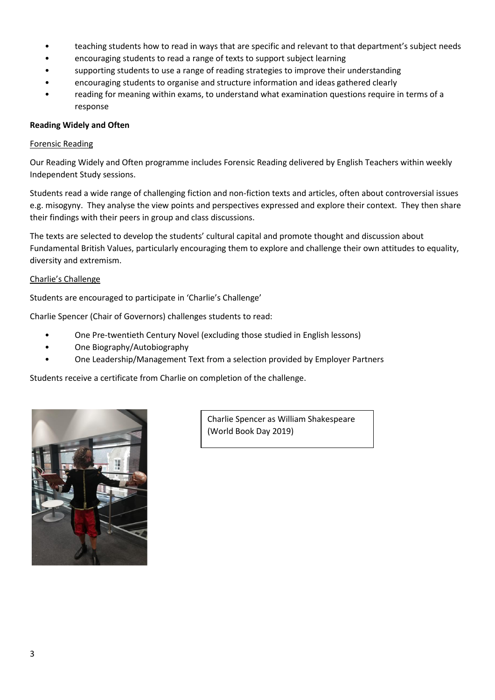- teaching students how to read in ways that are specific and relevant to that department's subject needs
- encouraging students to read a range of texts to support subject learning
- supporting students to use a range of reading strategies to improve their understanding
- encouraging students to organise and structure information and ideas gathered clearly
- reading for meaning within exams, to understand what examination questions require in terms of a response

#### **Reading Widely and Often**

#### Forensic Reading

Our Reading Widely and Often programme includes Forensic Reading delivered by English Teachers within weekly Independent Study sessions.

Students read a wide range of challenging fiction and non-fiction texts and articles, often about controversial issues e.g. misogyny. They analyse the view points and perspectives expressed and explore their context. They then share their findings with their peers in group and class discussions.

The texts are selected to develop the students' cultural capital and promote thought and discussion about Fundamental British Values, particularly encouraging them to explore and challenge their own attitudes to equality, diversity and extremism.

#### Charlie's Challenge

Students are encouraged to participate in 'Charlie's Challenge'

Charlie Spencer (Chair of Governors) challenges students to read:

- One Pre-twentieth Century Novel (excluding those studied in English lessons)
- One Biography/Autobiography
- One Leadership/Management Text from a selection provided by Employer Partners

Students receive a certificate from Charlie on completion of the challenge.



Charlie Spencer as William Shakespeare (World Book Day 2019)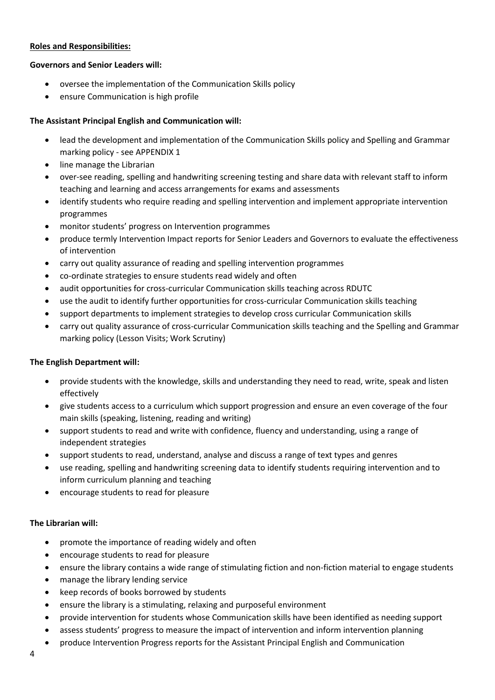## **Roles and Responsibilities:**

# **Governors and Senior Leaders will:**

- oversee the implementation of the Communication Skills policy
- ensure Communication is high profile

# **The Assistant Principal English and Communication will:**

- lead the development and implementation of the Communication Skills policy and Spelling and Grammar marking policy - see APPENDIX 1
- line manage the Librarian
- over-see reading, spelling and handwriting screening testing and share data with relevant staff to inform teaching and learning and access arrangements for exams and assessments
- identify students who require reading and spelling intervention and implement appropriate intervention programmes
- monitor students' progress on Intervention programmes
- produce termly Intervention Impact reports for Senior Leaders and Governors to evaluate the effectiveness of intervention
- carry out quality assurance of reading and spelling intervention programmes
- co-ordinate strategies to ensure students read widely and often
- audit opportunities for cross-curricular Communication skills teaching across RDUTC
- use the audit to identify further opportunities for cross-curricular Communication skills teaching
- support departments to implement strategies to develop cross curricular Communication skills
- carry out quality assurance of cross-curricular Communication skills teaching and the Spelling and Grammar marking policy (Lesson Visits; Work Scrutiny)

## **The English Department will:**

- provide students with the knowledge, skills and understanding they need to read, write, speak and listen effectively
- give students access to a curriculum which support progression and ensure an even coverage of the four main skills (speaking, listening, reading and writing)
- support students to read and write with confidence, fluency and understanding, using a range of independent strategies
- support students to read, understand, analyse and discuss a range of text types and genres
- use reading, spelling and handwriting screening data to identify students requiring intervention and to inform curriculum planning and teaching
- encourage students to read for pleasure

## **The Librarian will:**

- promote the importance of reading widely and often
- encourage students to read for pleasure
- ensure the library contains a wide range of stimulating fiction and non-fiction material to engage students
- manage the library lending service
- keep records of books borrowed by students
- ensure the library is a stimulating, relaxing and purposeful environment
- provide intervention for students whose Communication skills have been identified as needing support
- assess students' progress to measure the impact of intervention and inform intervention planning
- produce Intervention Progress reports for the Assistant Principal English and Communication